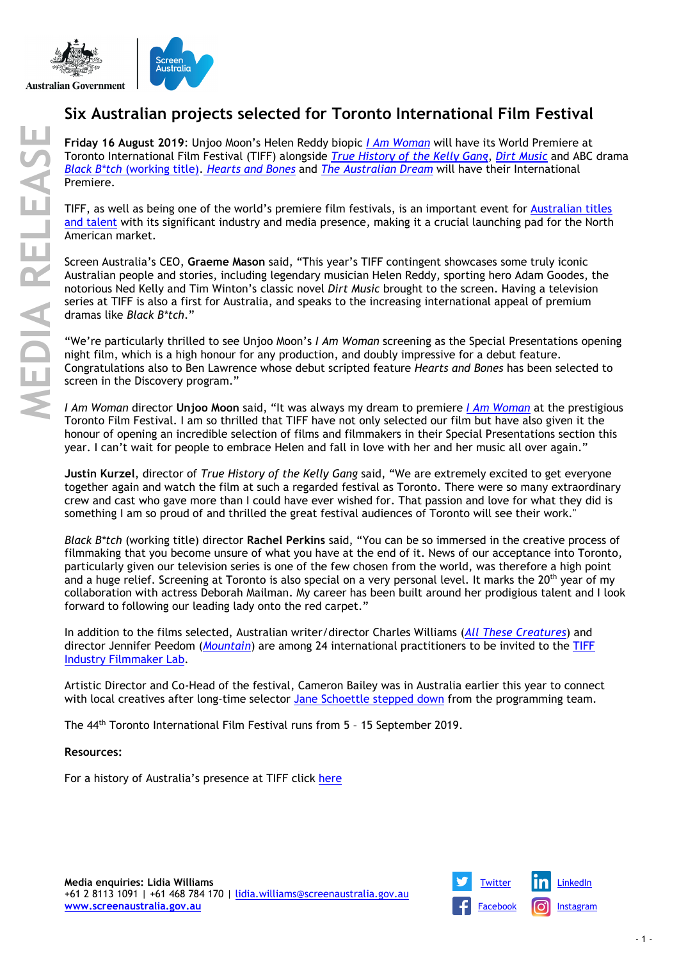

# **Six Australian projects selected for Toronto International Film Festival**

**Friday 16 August 2019**: Unjoo Moon's Helen Reddy biopic *[I Am Woman](https://www.screenaustralia.gov.au/the-screen-guide/t/i-am-woman-2019/34645)* will have its World Premiere at Toronto International Film Festival (TIFF) alongside *[True History of the Kelly Gang](https://www.screenaustralia.gov.au/the-screen-guide/t/true-history-of-the-kelly-gang-2019/32526?stxt=kelly%20gang)*, *[Dirt Music](https://www.screenaustralia.gov.au/the-screen-guide/t/dirt-music-2019/35381)* and ABC drama *[Black B\\*tch](https://www.screenaustralia.gov.au/the-screen-guide/t/black-b-tch-2019/36598/)* (working title). *[Hearts and Bones](https://www.screenaustralia.gov.au/the-screen-guide/t/hearts-and-bones-2019/36029/)* and *[The Australian Dream](https://www.screenaustralia.gov.au/the-screen-guide/t/the-australian-dream-2019/37090/)* will have their International Premiere.

TIFF, as well as being one of the world's premiere film festivals, is an important event for [Australian titles](https://www.screenaustralia.gov.au/festivals-and-markets/festival-profiles/toronto-international-film-festival/9835)  [and talent](https://www.screenaustralia.gov.au/festivals-and-markets/festival-profiles/toronto-international-film-festival/9835) with its significant industry and media presence, making it a crucial launching pad for the North American market.

Screen Australia's CEO, **Graeme Mason** said, "This year's TIFF contingent showcases some truly iconic Australian people and stories, including legendary musician Helen Reddy, sporting hero Adam Goodes, the notorious Ned Kelly and Tim Winton's classic novel *Dirt Music* brought to the screen. Having a television series at TIFF is also a first for Australia, and speaks to the increasing international appeal of premium dramas like *Black B\*tch*."

"We're particularly thrilled to see Unjoo Moon's *I Am Woman* screening as the Special Presentations opening night film, which is a high honour for any production, and doubly impressive for a debut feature. Congratulations also to Ben Lawrence whose debut scripted feature *Hearts and Bones* has been selected to screen in the Discovery program."

*I Am Woman* director **Unjoo Moon** said, "It was always my dream to premiere *[I Am Woman](https://www.screenaustralia.gov.au/the-screen-guide/t/i-am-woman-2019/34645)* at the prestigious Toronto Film Festival. I am so thrilled that TIFF have not only selected our film but have also given it the honour of opening an incredible selection of films and filmmakers in their Special Presentations section this year. I can't wait for people to embrace Helen and fall in love with her and her music all over again."

**Justin Kurzel**, director of *True History of the Kelly Gang* said, "We are extremely excited to get everyone together again and watch the film at such a regarded festival as Toronto. There were so many extraordinary crew and cast who gave more than I could have ever wished for. That passion and love for what they did is something I am so proud of and thrilled the great festival audiences of Toronto will see their work."

*Black B\*tch* (working title) director **Rachel Perkins** said, "You can be so immersed in the creative process of filmmaking that you become unsure of what you have at the end of it. News of our acceptance into Toronto, particularly given our television series is one of the few chosen from the world, was therefore a high point and a huge relief. Screening at Toronto is also special on a very personal level. It marks the 20<sup>th</sup> year of my collaboration with actress Deborah Mailman. My career has been built around her prodigious talent and I look forward to following our leading lady onto the red carpet."

In addition to the films selected, Australian writer/director Charles Williams (*[All These Creatures](https://www.screenaustralia.gov.au/the-screen-guide/t/all-these-creatures-2018/37077)*) and director Jennifer Peedom (*[Mountain](https://www.screenaustralia.gov.au/the-screen-guide/t/mountain-2017/33797?stxt=mountain)*) are among 24 international practitioners to be invited to the [TIFF](https://www.tiff.net/industry-filmmaker-lab)  [Industry Filmmaker Lab.](https://www.tiff.net/industry-filmmaker-lab)

Artistic Director and Co-Head of the festival, Cameron Bailey was in Australia earlier this year to connect with local creatives after long-time selector [Jane Schoettle stepped down](https://www.tiff.net/the-review/heres-looking-at-you-jane) from the programming team.

The 44<sup>th</sup> Toronto International Film Festival runs from 5 - 15 September 2019.

## **Resources:**

For a history of Australia's presence at TIFF click [here](https://www.screenaustralia.gov.au/festivals-and-markets/festival-profiles/toronto-international-film-festival/9835/)

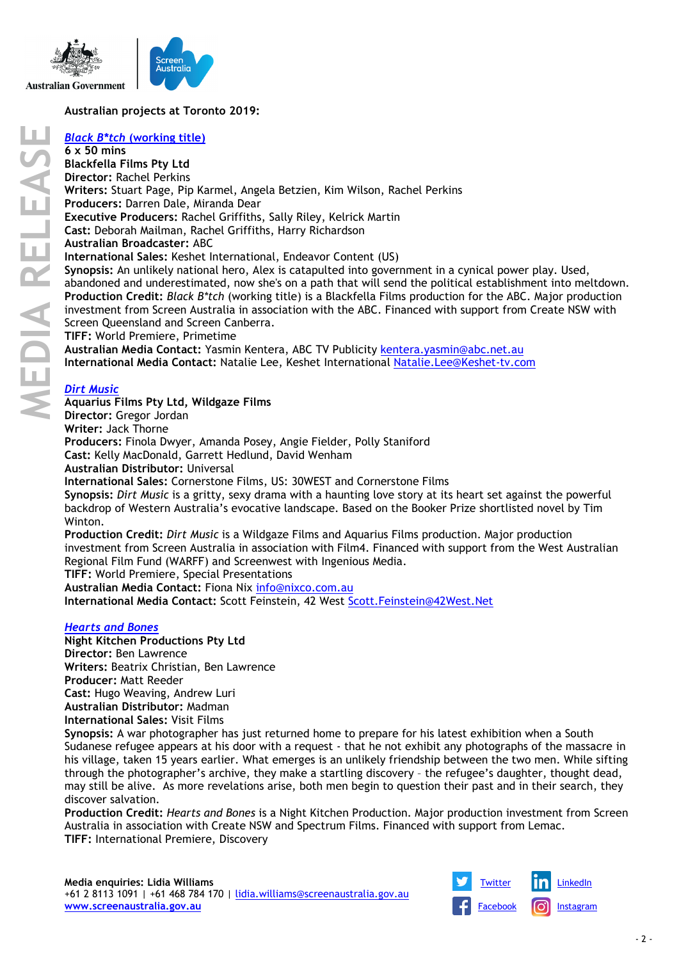

# **Australian projects at Toronto 2019:**

# *[Black B\\*tch](https://www.screenaustralia.gov.au/the-screen-guide/t/black-b-tch-2019/36598/)* **(working title)**

**6 x 50 mins Blackfella Films Pty Ltd Director:** Rachel Perkins **Writers:** Stuart Page, Pip Karmel, Angela Betzien, Kim Wilson, Rachel Perkins **Producers:** Darren Dale, Miranda Dear **Executive Producers:** Rachel Griffiths, Sally Riley, Kelrick Martin **Cast:** Deborah Mailman, Rachel Griffiths, Harry Richardson **Australian Broadcaster:** ABC **International Sales:** Keshet International, Endeavor Content (US) **Synopsis:** An unlikely national hero, Alex is catapulted into government in a cynical power play. Used, abandoned and underestimated, now she's on a path that will send the political establishment into meltdown. **Production Credit:** *Black B\*tch* (working title) is a Blackfella Films production for the ABC. Major production investment from Screen Australia in association with the ABC. Financed with support from Create NSW with Screen Queensland and Screen Canberra. **TIFF:** World Premiere, Primetime **Australian Media Contact:** Yasmin Kentera, ABC TV Publicity [kentera.yasmin@abc.net.au](mailto:kentera.yasmin@abc.net.au) **International Media Contact:** Natalie Lee, Keshet International [Natalie.Lee@Keshet-tv.com](mailto:Natalie.Lee@Keshet-tv.com)

# *[Dirt Music](https://www.screenaustralia.gov.au/the-screen-guide/t/dirt-music-2019/35381)*

**Aquarius Films Pty Ltd, Wildgaze Films**

**Director:** Gregor Jordan

**Writer:** Jack Thorne

**Producers:** Finola Dwyer, Amanda Posey, Angie Fielder, Polly Staniford

**Cast:** Kelly MacDonald, Garrett Hedlund, David Wenham

**Australian Distributor:** Universal

**International Sales:** Cornerstone Films, US: 30WEST and Cornerstone Films

**Synopsis:** *Dirt Music* is a gritty, sexy drama with a haunting love story at its heart set against the powerful backdrop of Western Australia's evocative landscape. Based on the Booker Prize shortlisted novel by Tim Winton.

**Production Credit:** *Dirt Music* is a Wildgaze Films and Aquarius Films production. Major production investment from Screen Australia in association with Film4. Financed with support from the West Australian Regional Film Fund (WARFF) and Screenwest with Ingenious Media.

**TIFF:** World Premiere, Special Presentations

**Australian Media Contact:** Fiona Nix [info@nixco.com.au](mailto:info@nixco.com.au)

**International Media Contact:** Scott Feinstein, 42 West [Scott.Feinstein@42West.Net](mailto:Scott.Feinstein@42West.Net)

#### *[Hearts and Bones](https://www.screenaustralia.gov.au/the-screen-guide/t/hearts-and-bones-2019/36029/)*

**Night Kitchen Productions Pty Ltd Director:** Ben Lawrence **Writers:** Beatrix Christian, Ben Lawrence **Producer:** Matt Reeder **Cast:** Hugo Weaving, Andrew Luri **Australian Distributor:** Madman **International Sales:** Visit Films

**Synopsis:** A war photographer has just returned home to prepare for his latest exhibition when a South Sudanese refugee appears at his door with a request - that he not exhibit any photographs of the massacre in his village, taken 15 years earlier. What emerges is an unlikely friendship between the two men. While sifting through the photographer's archive, they make a startling discovery – the refugee's daughter, thought dead, may still be alive. As more revelations arise, both men begin to question their past and in their search, they discover salvation.

**Production Credit:** *Hearts and Bones* is a Night Kitchen Production. Major production investment from Screen Australia in association with Create NSW and Spectrum Films. Financed with support from Lemac. **TIFF:** International Premiere, Discovery

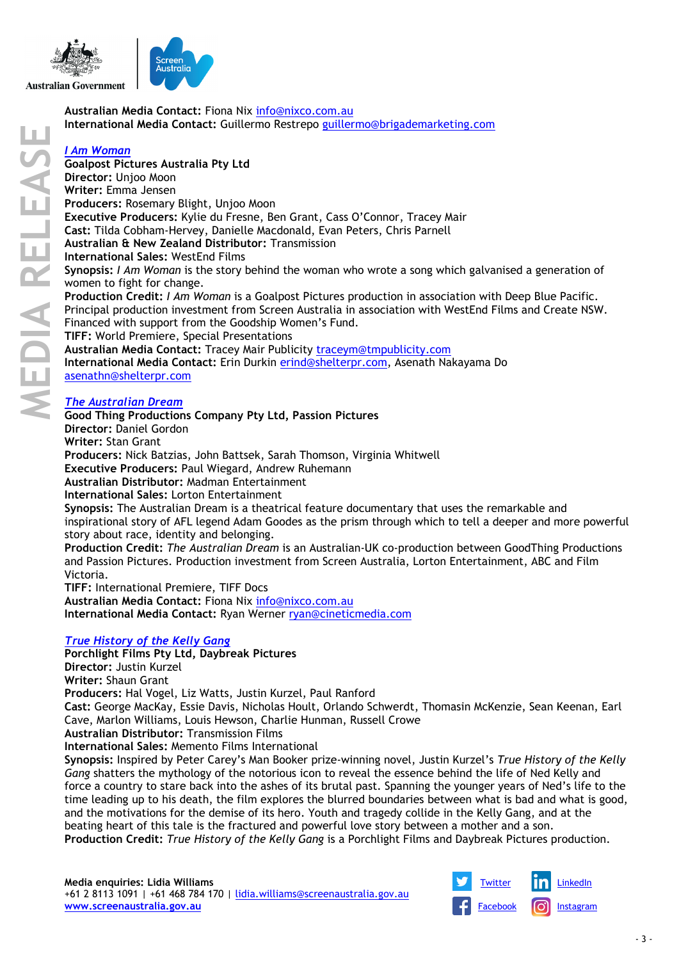

**Australian Media Contact:** Fiona Nix [info@nixco.com.au](mailto:info@nixco.com.au) **International Media Contact:** Guillermo Restrepo [guillermo@brigademarketing.com](mailto:guillermo@brigademarketing.com)

# *[I Am Woman](https://www.screenaustralia.gov.au/the-screen-guide/t/i-am-woman-2019/34645/)*

**Goalpost Pictures Australia Pty Ltd**

**Director:** Unjoo Moon

**Writer:** Emma Jensen

**Producers:** Rosemary Blight, Unjoo Moon

**Executive Producers:** Kylie du Fresne, Ben Grant, Cass O'Connor, Tracey Mair

**Cast:** Tilda Cobham-Hervey, Danielle Macdonald, Evan Peters, Chris Parnell

**Australian & New Zealand Distributor:** Transmission

**International Sales:** WestEnd Films

**Synopsis:** *I Am Woman* is the story behind the woman who wrote a song which galvanised a generation of women to fight for change.

**Production Credit:** *I Am Woman* is a Goalpost Pictures production in association with Deep Blue Pacific. Principal production investment from Screen Australia in association with WestEnd Films and Create NSW. Financed with support from the Goodship Women's Fund. **TIFF:** World Premiere, Special Presentations

**Australian Media Contact:** Tracey Mair Publicity [traceym@tmpublicity.com](mailto:traceym@tmpublicity.com)

**International Media Contact:** Erin Durkin [erind@shelterpr.com,](mailto:erind@shelterpr.com) Asenath Nakayama Do [asenathn@shelterpr.com](mailto:asenathn@shelterpr.com)

# *[The Australian Dream](https://www.screenaustralia.gov.au/the-screen-guide/t/the-australian-dream-2019/37090/)*

# **Good Thing Productions Company Pty Ltd, Passion Pictures**

**Director:** Daniel Gordon

**Writer:** Stan Grant

**Producers:** Nick Batzias, John Battsek, Sarah Thomson, Virginia Whitwell

**Executive Producers:** Paul Wiegard, Andrew Ruhemann

**Australian Distributor:** Madman Entertainment

**International Sales:** Lorton Entertainment

**Synopsis:** The Australian Dream is a theatrical feature documentary that uses the remarkable and inspirational story of AFL legend Adam Goodes as the prism through which to tell a deeper and more powerful story about race, identity and belonging.

**Production Credit:** *The Australian Dream* is an Australian-UK co-production between GoodThing Productions and Passion Pictures. Production investment from Screen Australia, Lorton Entertainment, ABC and Film Victoria.

**TIFF:** International Premiere, TIFF Docs

**Australian Media Contact:** Fiona Nix [info@nixco.com.au](mailto:info@nixco.com.au)

**International Media Contact:** Ryan Werner [ryan@cineticmedia.com](mailto:ryan@cineticmedia.com)

## *[True History of the Kelly Gang](https://www.screenaustralia.gov.au/the-screen-guide/t/true-history-of-the-kelly-gang-2019/32526?stxt=kelly%20gang)*

**Porchlight Films Pty Ltd, Daybreak Pictures**

**Director:** Justin Kurzel

**Writer:** Shaun Grant

**Producers:** Hal Vogel, Liz Watts, Justin Kurzel, Paul Ranford

**Cast:** George MacKay, Essie Davis, Nicholas Hoult, Orlando Schwerdt, Thomasin McKenzie, Sean Keenan, Earl Cave, Marlon Williams, Louis Hewson, Charlie Hunman, Russell Crowe

**Australian Distributor:** Transmission Films

**International Sales:** Memento Films International

**Synopsis:** Inspired by Peter Carey's Man Booker prize-winning novel, Justin Kurzel's *True History of the Kelly Gang* shatters the mythology of the notorious icon to reveal the essence behind the life of Ned Kelly and force a country to stare back into the ashes of its brutal past. Spanning the younger years of Ned's life to the time leading up to his death, the film explores the blurred boundaries between what is bad and what is good, and the motivations for the demise of its hero. Youth and tragedy collide in the Kelly Gang, and at the beating heart of this tale is the fractured and powerful love story between a mother and a son. **Production Credit:** *True History of the Kelly Gang* is a Porchlight Films and Daybreak Pictures production.